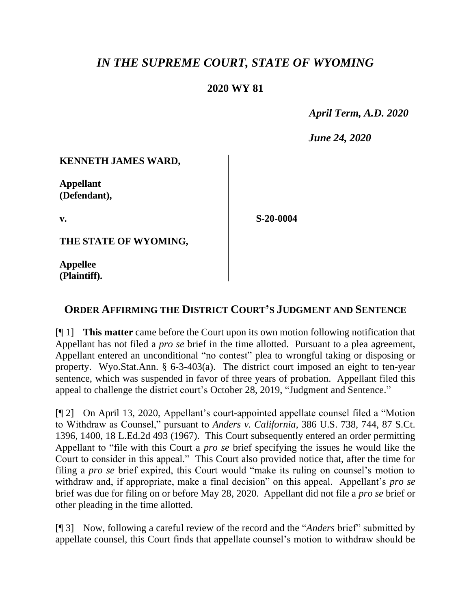# *IN THE SUPREME COURT, STATE OF WYOMING*

## **2020 WY 81**

 *April Term, A.D. 2020*

*June 24, 2020*

### **KENNETH JAMES WARD,**

**Appellant (Defendant),**

**v.**

**S-20-0004**

**THE STATE OF WYOMING,**

**Appellee (Plaintiff).**

## **ORDER AFFIRMING THE DISTRICT COURT'S JUDGMENT AND SENTENCE**

[¶ 1] **This matter** came before the Court upon its own motion following notification that Appellant has not filed a *pro se* brief in the time allotted. Pursuant to a plea agreement, Appellant entered an unconditional "no contest" plea to wrongful taking or disposing or property. Wyo.Stat.Ann. § 6-3-403(a). The district court imposed an eight to ten-year sentence, which was suspended in favor of three years of probation. Appellant filed this appeal to challenge the district court's October 28, 2019, "Judgment and Sentence."

[¶ 2] On April 13, 2020, Appellant's court-appointed appellate counsel filed a "Motion to Withdraw as Counsel," pursuant to *Anders v. California*, 386 U.S. 738, 744, 87 S.Ct. 1396, 1400, 18 L.Ed.2d 493 (1967). This Court subsequently entered an order permitting Appellant to "file with this Court a *pro se* brief specifying the issues he would like the Court to consider in this appeal." This Court also provided notice that, after the time for filing a *pro se* brief expired, this Court would "make its ruling on counsel's motion to withdraw and, if appropriate, make a final decision" on this appeal. Appellant's *pro se* brief was due for filing on or before May 28, 2020. Appellant did not file a *pro se* brief or other pleading in the time allotted.

[¶ 3] Now, following a careful review of the record and the "*Anders* brief" submitted by appellate counsel, this Court finds that appellate counsel's motion to withdraw should be